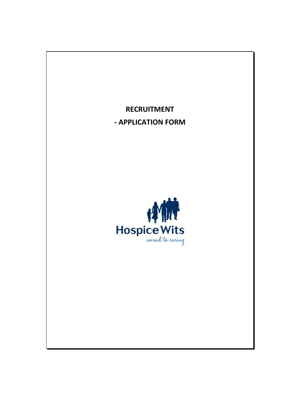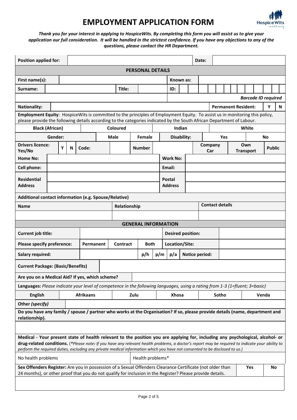

## **EMPLOYMENT APPLICATION FORM**

. *questions, please contact the HR Department.Thank you for your interest in applying to HospiceWits. By completing this form you will assist us to give your application our full consideration. It will be handled in the strictest confidence. If you have any objections to any of the*

| <b>Position applied for:</b>                                                                                                                                                                                                                                                                                                                                                                                     |                                                       |  |  |                  |  |                  |                 |                          |        |               |                |                 |  |                | Date:                  |                  |  |                            |       |  |                         |                            |  |               |    |  |
|------------------------------------------------------------------------------------------------------------------------------------------------------------------------------------------------------------------------------------------------------------------------------------------------------------------------------------------------------------------------------------------------------------------|-------------------------------------------------------|--|--|------------------|--|------------------|-----------------|--------------------------|--------|---------------|----------------|-----------------|--|----------------|------------------------|------------------|--|----------------------------|-------|--|-------------------------|----------------------------|--|---------------|----|--|
| <b>PERSONAL DETAILS</b>                                                                                                                                                                                                                                                                                                                                                                                          |                                                       |  |  |                  |  |                  |                 |                          |        |               |                |                 |  |                |                        |                  |  |                            |       |  |                         |                            |  |               |    |  |
| First name(s):                                                                                                                                                                                                                                                                                                                                                                                                   |                                                       |  |  |                  |  |                  |                 |                          |        |               |                | Known as:       |  |                |                        |                  |  |                            |       |  |                         |                            |  |               |    |  |
| Surname:                                                                                                                                                                                                                                                                                                                                                                                                         |                                                       |  |  |                  |  | Title:           |                 |                          |        |               | ID:            |                 |  |                |                        |                  |  |                            |       |  |                         |                            |  |               |    |  |
|                                                                                                                                                                                                                                                                                                                                                                                                                  |                                                       |  |  |                  |  |                  |                 |                          |        |               |                |                 |  |                |                        |                  |  |                            |       |  |                         | <b>Barcode ID required</b> |  |               |    |  |
| <b>Nationality:</b>                                                                                                                                                                                                                                                                                                                                                                                              |                                                       |  |  |                  |  |                  |                 |                          |        |               |                |                 |  |                |                        |                  |  | <b>Permanent Resident:</b> |       |  |                         | Υ                          |  | N             |    |  |
| Employment Equity: HospiceWits is committed to the principles of Employment Equity. To assist us in monitoring this policy,<br>please provide the following details according to the categories indicated by the South African Department of Labour.                                                                                                                                                             |                                                       |  |  |                  |  |                  |                 |                          |        |               |                |                 |  |                |                        |                  |  |                            |       |  |                         |                            |  |               |    |  |
| <b>Black (African)</b>                                                                                                                                                                                                                                                                                                                                                                                           |                                                       |  |  | Coloured         |  |                  |                 |                          |        |               |                | Indian          |  |                |                        | White            |  |                            |       |  |                         |                            |  |               |    |  |
| Gender:                                                                                                                                                                                                                                                                                                                                                                                                          |                                                       |  |  | Male             |  |                  |                 |                          | Female |               |                | Disability:     |  |                |                        | <b>No</b><br>Yes |  |                            |       |  |                         |                            |  |               |    |  |
| <b>Drivers licence:</b><br>Yes/No                                                                                                                                                                                                                                                                                                                                                                                | Y<br>N                                                |  |  | Code:            |  |                  |                 |                          | Number |               |                |                 |  |                | Company<br>Car         |                  |  |                            |       |  | Own<br><b>Transport</b> |                            |  | <b>Public</b> |    |  |
| Home No:                                                                                                                                                                                                                                                                                                                                                                                                         |                                                       |  |  |                  |  |                  |                 |                          |        |               |                | <b>Work No:</b> |  |                |                        |                  |  |                            |       |  |                         |                            |  |               |    |  |
| Cell phone:                                                                                                                                                                                                                                                                                                                                                                                                      |                                                       |  |  |                  |  |                  |                 |                          |        |               | Email:         |                 |  |                |                        |                  |  |                            |       |  |                         |                            |  |               |    |  |
| <b>Residential</b>                                                                                                                                                                                                                                                                                                                                                                                               |                                                       |  |  |                  |  |                  |                 |                          |        | <b>Postal</b> |                |                 |  |                |                        |                  |  |                            |       |  |                         |                            |  |               |    |  |
| <b>Address</b>                                                                                                                                                                                                                                                                                                                                                                                                   |                                                       |  |  |                  |  |                  |                 |                          |        |               |                | <b>Address</b>  |  |                |                        |                  |  |                            |       |  |                         |                            |  |               |    |  |
|                                                                                                                                                                                                                                                                                                                                                                                                                  | Additional contact information (e.g. Spouse/Relative) |  |  |                  |  |                  |                 |                          |        |               |                |                 |  |                |                        |                  |  |                            |       |  |                         |                            |  |               |    |  |
| <b>Name</b>                                                                                                                                                                                                                                                                                                                                                                                                      |                                                       |  |  |                  |  |                  | Relationship    |                          |        |               |                |                 |  |                | <b>Contact details</b> |                  |  |                            |       |  |                         |                            |  |               |    |  |
|                                                                                                                                                                                                                                                                                                                                                                                                                  |                                                       |  |  |                  |  |                  |                 |                          |        |               |                |                 |  |                |                        |                  |  |                            |       |  |                         |                            |  |               |    |  |
| <b>GENERAL INFORMATION</b>                                                                                                                                                                                                                                                                                                                                                                                       |                                                       |  |  |                  |  |                  |                 |                          |        |               |                |                 |  |                |                        |                  |  |                            |       |  |                         |                            |  |               |    |  |
| Current job title:                                                                                                                                                                                                                                                                                                                                                                                               |                                                       |  |  |                  |  |                  |                 | <b>Desired position:</b> |        |               |                |                 |  |                |                        |                  |  |                            |       |  |                         |                            |  |               |    |  |
| <b>Please specify preference:</b>                                                                                                                                                                                                                                                                                                                                                                                |                                                       |  |  | Permanent        |  |                  | <b>Contract</b> | <b>Both</b>              |        |               | Location/Site: |                 |  |                |                        |                  |  |                            |       |  |                         |                            |  |               |    |  |
| <b>Salary required:</b>                                                                                                                                                                                                                                                                                                                                                                                          |                                                       |  |  |                  |  |                  |                 | p/m<br>p/h               |        |               |                | p/a             |  | Notice period: |                        |                  |  |                            |       |  |                         |                            |  |               |    |  |
| <b>Current Package: (Basic/Benefits)</b>                                                                                                                                                                                                                                                                                                                                                                         |                                                       |  |  |                  |  |                  |                 |                          |        |               |                |                 |  |                |                        |                  |  |                            |       |  |                         |                            |  |               |    |  |
| Are you on a Medical Aid? If yes, which scheme?                                                                                                                                                                                                                                                                                                                                                                  |                                                       |  |  |                  |  |                  |                 |                          |        |               |                |                 |  |                |                        |                  |  |                            |       |  |                         |                            |  |               |    |  |
| Languages: Please indicate your level of competence in the following languages, using a rating from 1-3 (1=fluent; 3=basic)                                                                                                                                                                                                                                                                                      |                                                       |  |  |                  |  |                  |                 |                          |        |               |                |                 |  |                |                        |                  |  |                            |       |  |                         |                            |  |               |    |  |
| <b>English</b>                                                                                                                                                                                                                                                                                                                                                                                                   |                                                       |  |  | <b>Afrikaans</b> |  |                  |                 | Zulu                     |        |               | <b>Xhosa</b>   |                 |  | Sotho          |                        |                  |  |                            | Venda |  |                         |                            |  |               |    |  |
| Other (specify)                                                                                                                                                                                                                                                                                                                                                                                                  |                                                       |  |  |                  |  |                  |                 |                          |        |               |                |                 |  |                |                        |                  |  |                            |       |  |                         |                            |  |               |    |  |
| Do you have any family / spouse / partner who works at the Organisation? If so, please provide details (name, department and<br>relationship).                                                                                                                                                                                                                                                                   |                                                       |  |  |                  |  |                  |                 |                          |        |               |                |                 |  |                |                        |                  |  |                            |       |  |                         |                            |  |               |    |  |
|                                                                                                                                                                                                                                                                                                                                                                                                                  |                                                       |  |  |                  |  |                  |                 |                          |        |               |                |                 |  |                |                        |                  |  |                            |       |  |                         |                            |  |               |    |  |
| Medical - Your present state of health relevant to the position you are applying for, including any psychological, alcohol- or<br>drug-related conditions. (*Please note: If you have any relevant health problems, a doctor's report may be required to indicate your ability to<br>perform the required duties, excluding any private medical information which you have not consented to be disclosed to us.) |                                                       |  |  |                  |  |                  |                 |                          |        |               |                |                 |  |                |                        |                  |  |                            |       |  |                         |                            |  |               |    |  |
| No health problems                                                                                                                                                                                                                                                                                                                                                                                               |                                                       |  |  |                  |  | Health problems* |                 |                          |        |               |                |                 |  |                |                        |                  |  |                            |       |  |                         |                            |  |               |    |  |
| Sex Offenders Register: Are you in possession of a Sexual Offenders Clearance Certificate (not older than<br>24 months), or other proof that you do not qualify for inclusion in the Register? Please provide details.                                                                                                                                                                                           |                                                       |  |  |                  |  |                  |                 |                          |        |               |                |                 |  |                |                        |                  |  |                            |       |  |                         | Yes                        |  |               | No |  |
|                                                                                                                                                                                                                                                                                                                                                                                                                  |                                                       |  |  |                  |  |                  |                 |                          |        |               |                |                 |  |                |                        |                  |  |                            |       |  |                         |                            |  |               |    |  |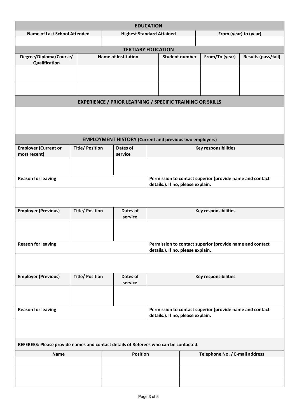| <b>EDUCATION</b>                                                                     |                        |                                                                  |                                                                                               |                                   |  |                                                          |                       |  |  |  |  |  |  |
|--------------------------------------------------------------------------------------|------------------------|------------------------------------------------------------------|-----------------------------------------------------------------------------------------------|-----------------------------------|--|----------------------------------------------------------|-----------------------|--|--|--|--|--|--|
| <b>Name of Last School Attended</b>                                                  |                        | <b>Highest Standard Attained</b>                                 |                                                                                               |                                   |  |                                                          | From (year) to (year) |  |  |  |  |  |  |
|                                                                                      |                        |                                                                  |                                                                                               |                                   |  |                                                          |                       |  |  |  |  |  |  |
|                                                                                      |                        | <b>TERTIARY EDUCATION</b>                                        |                                                                                               |                                   |  |                                                          |                       |  |  |  |  |  |  |
| Degree/Diploma/Course/<br>Qualification                                              |                        | <b>Name of Institution</b>                                       |                                                                                               | <b>Student number</b>             |  | From/To (year)                                           | Results (pass/fail)   |  |  |  |  |  |  |
|                                                                                      |                        |                                                                  |                                                                                               |                                   |  |                                                          |                       |  |  |  |  |  |  |
|                                                                                      |                        |                                                                  |                                                                                               |                                   |  |                                                          |                       |  |  |  |  |  |  |
|                                                                                      |                        | <b>EXPERIENCE / PRIOR LEARNING / SPECIFIC TRAINING OR SKILLS</b> |                                                                                               |                                   |  |                                                          |                       |  |  |  |  |  |  |
|                                                                                      |                        |                                                                  |                                                                                               |                                   |  |                                                          |                       |  |  |  |  |  |  |
| <b>EMPLOYMENT HISTORY (Current and previous two employers)</b>                       |                        |                                                                  |                                                                                               |                                   |  |                                                          |                       |  |  |  |  |  |  |
| <b>Employer (Current or</b><br>most recent)                                          | <b>Title/ Position</b> | Dates of<br>service                                              | <b>Key responsibilities</b>                                                                   |                                   |  |                                                          |                       |  |  |  |  |  |  |
|                                                                                      |                        |                                                                  |                                                                                               |                                   |  |                                                          |                       |  |  |  |  |  |  |
| <b>Reason for leaving</b>                                                            |                        |                                                                  | Permission to contact superior (provide name and contact<br>details.). If no, please explain. |                                   |  |                                                          |                       |  |  |  |  |  |  |
|                                                                                      |                        |                                                                  |                                                                                               |                                   |  |                                                          |                       |  |  |  |  |  |  |
| <b>Employer (Previous)</b>                                                           | <b>Title/ Position</b> | Dates of<br>service                                              |                                                                                               | <b>Key responsibilities</b>       |  |                                                          |                       |  |  |  |  |  |  |
|                                                                                      |                        |                                                                  |                                                                                               |                                   |  |                                                          |                       |  |  |  |  |  |  |
| <b>Reason for leaving</b>                                                            |                        |                                                                  |                                                                                               | details.). If no, please explain. |  | Permission to contact superior (provide name and contact |                       |  |  |  |  |  |  |
|                                                                                      |                        |                                                                  |                                                                                               |                                   |  |                                                          |                       |  |  |  |  |  |  |
| <b>Employer (Previous)</b>                                                           | <b>Title/ Position</b> | Dates of<br>service                                              | <b>Key responsibilities</b>                                                                   |                                   |  |                                                          |                       |  |  |  |  |  |  |
|                                                                                      |                        |                                                                  |                                                                                               |                                   |  |                                                          |                       |  |  |  |  |  |  |
| <b>Reason for leaving</b>                                                            |                        |                                                                  |                                                                                               | details.). If no, please explain. |  | Permission to contact superior (provide name and contact |                       |  |  |  |  |  |  |
|                                                                                      |                        |                                                                  |                                                                                               |                                   |  |                                                          |                       |  |  |  |  |  |  |
| REFEREES: Please provide names and contact details of Referees who can be contacted. |                        |                                                                  |                                                                                               |                                   |  |                                                          |                       |  |  |  |  |  |  |
| Name                                                                                 |                        | <b>Position</b>                                                  |                                                                                               |                                   |  | Telephone No. / E-mail address                           |                       |  |  |  |  |  |  |
|                                                                                      |                        |                                                                  |                                                                                               |                                   |  |                                                          |                       |  |  |  |  |  |  |
|                                                                                      |                        |                                                                  |                                                                                               |                                   |  |                                                          |                       |  |  |  |  |  |  |
|                                                                                      |                        |                                                                  |                                                                                               |                                   |  |                                                          |                       |  |  |  |  |  |  |